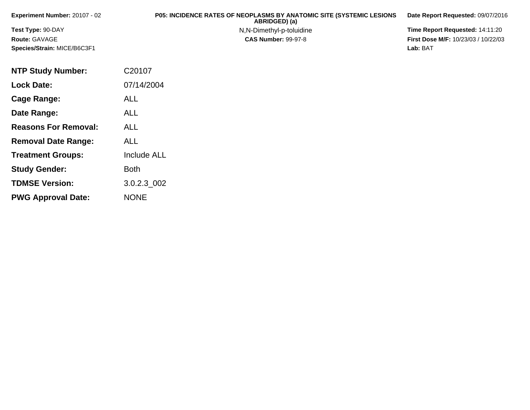| Experiment Number: $20107 - 02$    | <b>P05: INCIDENCE RATES OF NEOPLASMS BY ANATOMIC SITE (SYSTEMIC LESIONS</b><br>ABRIDGED) (a) | Date Report Requested: 09/07/2016          |
|------------------------------------|----------------------------------------------------------------------------------------------|--------------------------------------------|
| <b>Test Type: 90-DAY</b>           | N,N-Dimethyl-p-toluidine                                                                     | <b>Time Report Requested: 14:11:20</b>     |
| <b>Route: GAVAGE</b>               | <b>CAS Number: 99-97-8</b>                                                                   | <b>First Dose M/F: 10/23/03 / 10/22/03</b> |
| <b>Species/Strain: MICE/B6C3F1</b> |                                                                                              | Lab: BAT                                   |

| <b>NTP Study Number:</b>    | C20107             |
|-----------------------------|--------------------|
| <b>Lock Date:</b>           | 07/14/2004         |
| Cage Range:                 | ALL                |
| Date Range:                 | <b>ALL</b>         |
| <b>Reasons For Removal:</b> | ALL                |
| <b>Removal Date Range:</b>  | ALL                |
| <b>Treatment Groups:</b>    | <b>Include ALL</b> |
| <b>Study Gender:</b>        | <b>Both</b>        |
| <b>TDMSE Version:</b>       | 3.0.2.3 002        |
| <b>PWG Approval Date:</b>   | <b>NONE</b>        |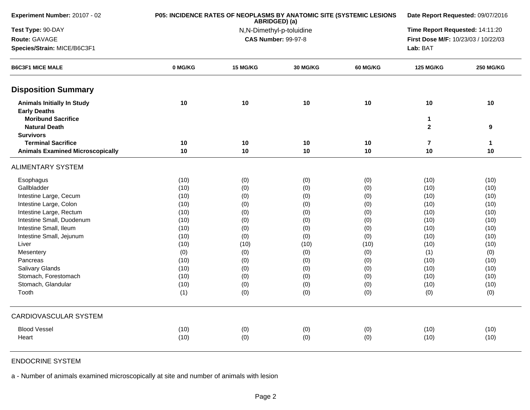| Experiment Number: 20107 - 02                            | P05: INCIDENCE RATES OF NEOPLASMS BY ANATOMIC SITE (SYSTEMIC LESIONS | Date Report Requested: 09/07/2016 |                                 |          |                                     |                  |
|----------------------------------------------------------|----------------------------------------------------------------------|-----------------------------------|---------------------------------|----------|-------------------------------------|------------------|
| Test Type: 90-DAY                                        |                                                                      | N,N-Dimethyl-p-toluidine          | Time Report Requested: 14:11:20 |          |                                     |                  |
| Route: GAVAGE                                            |                                                                      |                                   | <b>CAS Number: 99-97-8</b>      |          | First Dose M/F: 10/23/03 / 10/22/03 |                  |
| Species/Strain: MICE/B6C3F1                              |                                                                      |                                   |                                 |          | Lab: BAT                            |                  |
| <b>B6C3F1 MICE MALE</b>                                  | 0 MG/KG                                                              | 15 MG/KG                          | 30 MG/KG                        | 60 MG/KG | <b>125 MG/KG</b>                    | <b>250 MG/KG</b> |
| <b>Disposition Summary</b>                               |                                                                      |                                   |                                 |          |                                     |                  |
| <b>Animals Initially In Study</b><br><b>Early Deaths</b> | 10                                                                   | 10                                | 10                              | 10       | 10                                  | 10               |
| <b>Moribund Sacrifice</b><br><b>Natural Death</b>        |                                                                      |                                   |                                 |          | 1<br>$\mathbf{2}$                   | $\boldsymbol{9}$ |
| <b>Survivors</b>                                         |                                                                      |                                   |                                 |          |                                     |                  |
| <b>Terminal Sacrifice</b>                                | 10                                                                   | 10                                | 10                              | 10       | $\overline{\mathbf{r}}$             | $\mathbf{1}$     |
| <b>Animals Examined Microscopically</b>                  | 10                                                                   | 10                                | 10                              | 10       | 10                                  | 10               |
| <b>ALIMENTARY SYSTEM</b>                                 |                                                                      |                                   |                                 |          |                                     |                  |
| Esophagus                                                | (10)                                                                 | (0)                               | (0)                             | (0)      | (10)                                | (10)             |
| Gallbladder                                              | (10)                                                                 | (0)                               | (0)                             | (0)      | (10)                                | (10)             |
| Intestine Large, Cecum                                   | (10)                                                                 | (0)                               | (0)                             | (0)      | (10)                                | (10)             |
| Intestine Large, Colon                                   | (10)                                                                 | (0)                               | (0)                             | (0)      | (10)                                | (10)             |
| Intestine Large, Rectum                                  | (10)                                                                 | (0)                               | (0)                             | (0)      | (10)                                | (10)             |
| Intestine Small, Duodenum                                | (10)                                                                 | (0)                               | (0)                             | (0)      | (10)                                | (10)             |
| Intestine Small, Ileum                                   | (10)                                                                 | (0)                               | (0)                             | (0)      | (10)                                | (10)             |
| Intestine Small, Jejunum                                 | (10)                                                                 | (0)                               | (0)                             | (0)      | (10)                                | (10)             |
| Liver                                                    | (10)                                                                 | (10)                              | (10)                            | (10)     | (10)                                | (10)             |
| Mesentery                                                | (0)                                                                  | (0)                               | (0)                             | (0)      | (1)                                 | (0)              |
| Pancreas                                                 | (10)                                                                 | (0)                               | (0)                             | (0)      | (10)                                | (10)             |
| Salivary Glands                                          | (10)                                                                 | (0)                               | (0)                             | (0)      | (10)                                | (10)             |
| Stomach, Forestomach                                     | (10)                                                                 | (0)                               | (0)                             | (0)      | (10)                                | (10)             |
| Stomach, Glandular                                       | (10)                                                                 | (0)                               | (0)                             | (0)      | (10)                                | (10)             |
| Tooth                                                    | (1)                                                                  | (0)                               | (0)                             | (0)      | (0)                                 | (0)              |
| <b>CARDIOVASCULAR SYSTEM</b>                             |                                                                      |                                   |                                 |          |                                     |                  |
| <b>Blood Vessel</b>                                      |                                                                      |                                   |                                 |          |                                     | (10)             |
| Heart                                                    | (10)                                                                 | (0)                               | (0)                             | (0)      | (10)                                | (10)             |
|                                                          | (10)                                                                 | (0)                               | (0)                             | (0)      | (10)                                |                  |

## ENDOCRINE SYSTEM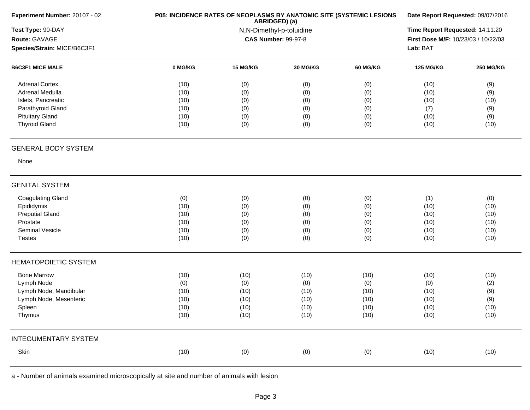| Experiment Number: 20107 - 02 |         | P05: INCIDENCE RATES OF NEOPLASMS BY ANATOMIC SITE (SYSTEMIC LESIONS<br>ABRIDGED) (a)<br>N,N-Dimethyl-p-toluidine |                            |          |                                     |                  |
|-------------------------------|---------|-------------------------------------------------------------------------------------------------------------------|----------------------------|----------|-------------------------------------|------------------|
| Test Type: 90-DAY             |         |                                                                                                                   |                            |          |                                     |                  |
| Route: GAVAGE                 |         |                                                                                                                   | <b>CAS Number: 99-97-8</b> |          | First Dose M/F: 10/23/03 / 10/22/03 |                  |
| Species/Strain: MICE/B6C3F1   |         |                                                                                                                   |                            |          |                                     |                  |
| <b>B6C3F1 MICE MALE</b>       | 0 MG/KG | 15 MG/KG                                                                                                          | 30 MG/KG                   | 60 MG/KG | <b>125 MG/KG</b>                    | <b>250 MG/KG</b> |
| <b>Adrenal Cortex</b>         | (10)    | (0)                                                                                                               | (0)                        | (0)      | (10)                                | (9)              |
| Adrenal Medulla               | (10)    | (0)                                                                                                               | (0)                        | (0)      | (10)                                | (9)              |
| Islets, Pancreatic            | (10)    | (0)                                                                                                               | (0)                        | (0)      | (10)                                | (10)             |
| Parathyroid Gland             | (10)    | (0)                                                                                                               | (0)                        | (0)      | (7)                                 | (9)              |
| <b>Pituitary Gland</b>        | (10)    | (0)                                                                                                               | (0)                        | (0)      | (10)                                | (9)              |
| <b>Thyroid Gland</b>          | (10)    | (0)                                                                                                               | (0)                        | (0)      | (10)                                | (10)             |
| <b>GENERAL BODY SYSTEM</b>    |         |                                                                                                                   |                            |          |                                     |                  |
| None                          |         |                                                                                                                   |                            |          |                                     |                  |
| <b>GENITAL SYSTEM</b>         |         |                                                                                                                   |                            |          |                                     |                  |
| <b>Coagulating Gland</b>      | (0)     | (0)                                                                                                               | (0)                        | (0)      | (1)                                 | (0)              |
| Epididymis                    | (10)    | (0)                                                                                                               | (0)                        | (0)      | (10)                                | (10)             |
| <b>Preputial Gland</b>        | (10)    | (0)                                                                                                               | (0)                        | (0)      | (10)                                | (10)             |
| Prostate                      | (10)    | (0)                                                                                                               | (0)                        | (0)      | (10)                                | (10)             |
| Seminal Vesicle               | (10)    | (0)                                                                                                               | (0)                        | (0)      | (10)                                | (10)             |
| <b>Testes</b>                 | (10)    | (0)                                                                                                               | (0)                        | (0)      | (10)                                | (10)             |
| <b>HEMATOPOIETIC SYSTEM</b>   |         |                                                                                                                   |                            |          |                                     |                  |
| <b>Bone Marrow</b>            | (10)    | (10)                                                                                                              | (10)                       | (10)     | (10)                                | (10)             |
| Lymph Node                    | (0)     | (0)                                                                                                               | (0)                        | (0)      | (0)                                 | (2)              |
| Lymph Node, Mandibular        | (10)    | (10)                                                                                                              | (10)                       | (10)     | (10)                                | (9)              |
| Lymph Node, Mesenteric        | (10)    | (10)                                                                                                              | (10)                       | (10)     | (10)                                | (9)              |
| Spleen                        | (10)    | (10)                                                                                                              | (10)                       | (10)     | (10)                                | (10)             |
| Thymus                        | (10)    | (10)                                                                                                              | (10)                       | (10)     | (10)                                | (10)             |
| <b>INTEGUMENTARY SYSTEM</b>   |         |                                                                                                                   |                            |          |                                     |                  |
| Skin                          | (10)    | (0)                                                                                                               | (0)                        | (0)      | (10)                                | (10)             |
|                               |         |                                                                                                                   |                            |          |                                     |                  |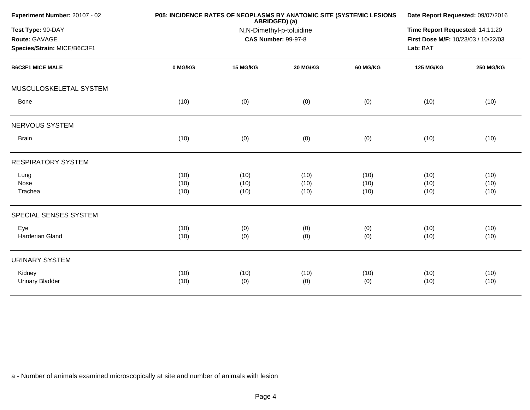| Experiment Number: 20107 - 02                                     | P05: INCIDENCE RATES OF NEOPLASMS BY ANATOMIC SITE (SYSTEMIC LESIONS | Date Report Requested: 09/07/2016<br>Time Report Requested: 14:11:20<br>First Dose M/F: 10/23/03 / 10/22/03<br>Lab: BAT |          |                 |                  |                  |
|-------------------------------------------------------------------|----------------------------------------------------------------------|-------------------------------------------------------------------------------------------------------------------------|----------|-----------------|------------------|------------------|
| Test Type: 90-DAY<br>Route: GAVAGE<br>Species/Strain: MICE/B6C3F1 |                                                                      |                                                                                                                         |          |                 |                  |                  |
| <b>B6C3F1 MICE MALE</b>                                           | 0 MG/KG                                                              | 15 MG/KG                                                                                                                | 30 MG/KG | <b>60 MG/KG</b> | <b>125 MG/KG</b> | <b>250 MG/KG</b> |
| MUSCULOSKELETAL SYSTEM                                            |                                                                      |                                                                                                                         |          |                 |                  |                  |
| Bone                                                              | (10)                                                                 | (0)                                                                                                                     | (0)      | (0)             | (10)             | (10)             |
| NERVOUS SYSTEM                                                    |                                                                      |                                                                                                                         |          |                 |                  |                  |
| <b>Brain</b>                                                      | (10)                                                                 | (0)                                                                                                                     | (0)      | (0)             | (10)             | (10)             |
| <b>RESPIRATORY SYSTEM</b>                                         |                                                                      |                                                                                                                         |          |                 |                  |                  |
| Lung                                                              | (10)                                                                 | (10)                                                                                                                    | (10)     | (10)            | (10)             | (10)             |
| Nose                                                              | (10)                                                                 | (10)                                                                                                                    | (10)     | (10)            | (10)             | (10)             |
| Trachea                                                           | (10)                                                                 | (10)                                                                                                                    | (10)     | (10)            | (10)             | (10)             |
| SPECIAL SENSES SYSTEM                                             |                                                                      |                                                                                                                         |          |                 |                  |                  |
| Eye                                                               | (10)                                                                 | (0)                                                                                                                     | (0)      | (0)             | (10)             | (10)             |
| Harderian Gland                                                   | (10)                                                                 | (0)                                                                                                                     | (0)      | (0)             | (10)             | (10)             |
| <b>URINARY SYSTEM</b>                                             |                                                                      |                                                                                                                         |          |                 |                  |                  |
| Kidney                                                            | (10)                                                                 | (10)                                                                                                                    | (10)     | (10)            | (10)             | (10)             |
| <b>Urinary Bladder</b>                                            | (10)                                                                 | (0)                                                                                                                     | (0)      | (0)             | (10)             | (10)             |
|                                                                   |                                                                      |                                                                                                                         |          |                 |                  |                  |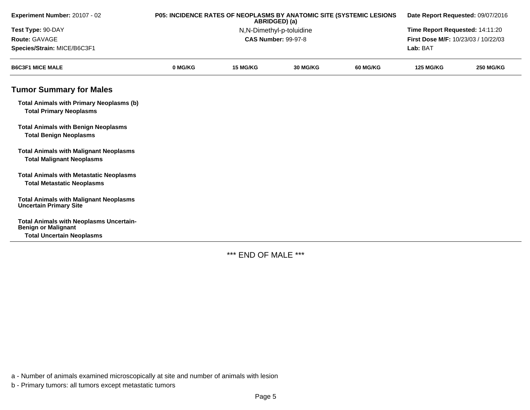| Experiment Number: 20107 - 02                                                       | P05: INCIDENCE RATES OF NEOPLASMS BY ANATOMIC SITE (SYSTEMIC LESIONS<br>ABRIDGED) (a) |                          |                                 | Date Report Requested: 09/07/2016 |                                     |                  |
|-------------------------------------------------------------------------------------|---------------------------------------------------------------------------------------|--------------------------|---------------------------------|-----------------------------------|-------------------------------------|------------------|
| Test Type: 90-DAY                                                                   |                                                                                       | N,N-Dimethyl-p-toluidine | Time Report Requested: 14:11:20 |                                   |                                     |                  |
| Route: GAVAGE                                                                       |                                                                                       |                          | <b>CAS Number: 99-97-8</b>      |                                   | First Dose M/F: 10/23/03 / 10/22/03 |                  |
| Species/Strain: MICE/B6C3F1                                                         |                                                                                       |                          |                                 |                                   | Lab: BAT                            |                  |
| <b>B6C3F1 MICE MALE</b>                                                             | 0 MG/KG                                                                               | 15 MG/KG                 | <b>30 MG/KG</b>                 | <b>60 MG/KG</b>                   | <b>125 MG/KG</b>                    | <b>250 MG/KG</b> |
| <b>Tumor Summary for Males</b>                                                      |                                                                                       |                          |                                 |                                   |                                     |                  |
| <b>Total Animals with Primary Neoplasms (b)</b><br><b>Total Primary Neoplasms</b>   |                                                                                       |                          |                                 |                                   |                                     |                  |
| <b>Total Animals with Benign Neoplasms</b><br><b>Total Benign Neoplasms</b>         |                                                                                       |                          |                                 |                                   |                                     |                  |
| <b>Total Animals with Malignant Neoplasms</b><br><b>Total Malignant Neoplasms</b>   |                                                                                       |                          |                                 |                                   |                                     |                  |
| <b>Total Animals with Metastatic Neoplasms</b><br><b>Total Metastatic Neoplasms</b> |                                                                                       |                          |                                 |                                   |                                     |                  |
| <b>Total Animals with Malignant Neoplasms</b><br><b>Uncertain Primary Site</b>      |                                                                                       |                          |                                 |                                   |                                     |                  |
| <b>Total Animals with Neoplasms Uncertain-</b><br><b>Benign or Malignant</b>        |                                                                                       |                          |                                 |                                   |                                     |                  |
| <b>Total Uncertain Neoplasms</b>                                                    |                                                                                       |                          |                                 |                                   |                                     |                  |

\*\*\* END OF MALE \*\*\*

a - Number of animals examined microscopically at site and number of animals with lesion

b - Primary tumors: all tumors except metastatic tumors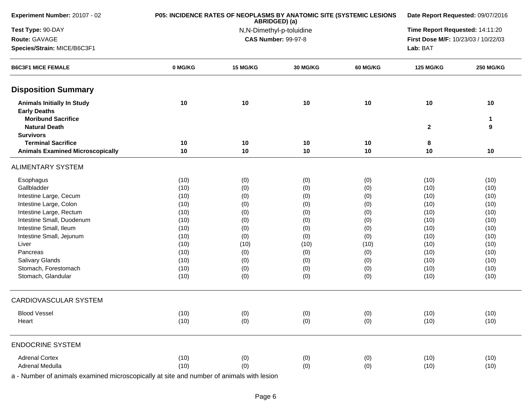| Experiment Number: 20107 - 02                                                         | P05: INCIDENCE RATES OF NEOPLASMS BY ANATOMIC SITE (SYSTEMIC LESIONS | Date Report Requested: 09/07/2016 |                            |          |                                     |                  |  |
|---------------------------------------------------------------------------------------|----------------------------------------------------------------------|-----------------------------------|----------------------------|----------|-------------------------------------|------------------|--|
| Test Type: 90-DAY                                                                     |                                                                      | N,N-Dimethyl-p-toluidine          |                            |          |                                     |                  |  |
| Route: GAVAGE                                                                         |                                                                      |                                   | <b>CAS Number: 99-97-8</b> |          | First Dose M/F: 10/23/03 / 10/22/03 |                  |  |
| Species/Strain: MICE/B6C3F1                                                           |                                                                      |                                   |                            | Lab: BAT |                                     |                  |  |
| <b>B6C3F1 MICE FEMALE</b>                                                             | 0 MG/KG                                                              | 15 MG/KG                          | <b>30 MG/KG</b>            | 60 MG/KG | <b>125 MG/KG</b>                    | <b>250 MG/KG</b> |  |
| <b>Disposition Summary</b>                                                            |                                                                      |                                   |                            |          |                                     |                  |  |
| <b>Animals Initially In Study</b><br><b>Early Deaths</b><br><b>Moribund Sacrifice</b> | 10                                                                   | 10                                | 10                         | 10       | 10                                  | 10<br>1          |  |
| <b>Natural Death</b>                                                                  |                                                                      |                                   |                            |          | $\mathbf{2}$                        | 9                |  |
| <b>Survivors</b>                                                                      |                                                                      |                                   |                            |          |                                     |                  |  |
| <b>Terminal Sacrifice</b><br><b>Animals Examined Microscopically</b>                  | 10<br>10                                                             | 10<br>10                          | 10<br>10                   | 10<br>10 | 8<br>10                             | 10               |  |
| <b>ALIMENTARY SYSTEM</b>                                                              |                                                                      |                                   |                            |          |                                     |                  |  |
| Esophagus                                                                             | (10)                                                                 | (0)                               | (0)                        | (0)      | (10)                                | (10)             |  |
| Gallbladder                                                                           | (10)                                                                 | (0)                               | (0)                        | (0)      | (10)                                | (10)             |  |
| Intestine Large, Cecum                                                                | (10)                                                                 | (0)                               | (0)                        | (0)      | (10)                                | (10)             |  |
| Intestine Large, Colon                                                                | (10)                                                                 | (0)                               | (0)                        | (0)      | (10)                                | (10)             |  |
| Intestine Large, Rectum                                                               | (10)                                                                 | (0)                               | (0)                        | (0)      | (10)                                | (10)             |  |
| Intestine Small, Duodenum                                                             | (10)                                                                 | (0)                               | (0)                        | (0)      | (10)                                | (10)             |  |
| Intestine Small, Ileum                                                                | (10)                                                                 | (0)                               | (0)                        | (0)      | (10)                                | (10)             |  |
| Intestine Small, Jejunum                                                              | (10)                                                                 | (0)                               | (0)                        | (0)      | (10)                                | (10)             |  |
| Liver                                                                                 | (10)                                                                 | (10)                              | (10)                       | (10)     | (10)                                | (10)             |  |
| Pancreas                                                                              | (10)                                                                 | (0)                               | (0)                        | (0)      | (10)                                | (10)             |  |
| <b>Salivary Glands</b>                                                                | (10)                                                                 | (0)                               | (0)                        | (0)      | (10)                                | (10)             |  |
| Stomach, Forestomach                                                                  | (10)                                                                 | (0)                               | (0)                        | (0)      | (10)                                | (10)             |  |
| Stomach, Glandular                                                                    | (10)                                                                 | (0)                               | (0)                        | (0)      | (10)                                | (10)             |  |
| <b>CARDIOVASCULAR SYSTEM</b>                                                          |                                                                      |                                   |                            |          |                                     |                  |  |
| <b>Blood Vessel</b>                                                                   | (10)                                                                 | (0)                               | (0)                        | (0)      | (10)                                | (10)             |  |
| Heart                                                                                 | (10)                                                                 | (0)                               | (0)                        | (0)      | (10)                                | (10)             |  |
| <b>ENDOCRINE SYSTEM</b>                                                               |                                                                      |                                   |                            |          |                                     |                  |  |
| <b>Adrenal Cortex</b>                                                                 | (10)                                                                 | (0)                               | (0)                        | (0)      | (10)                                | (10)             |  |
| Adrenal Medulla                                                                       | (10)                                                                 | (0)                               | (0)                        | (0)      | (10)                                | (10)             |  |
|                                                                                       |                                                                      |                                   |                            |          |                                     |                  |  |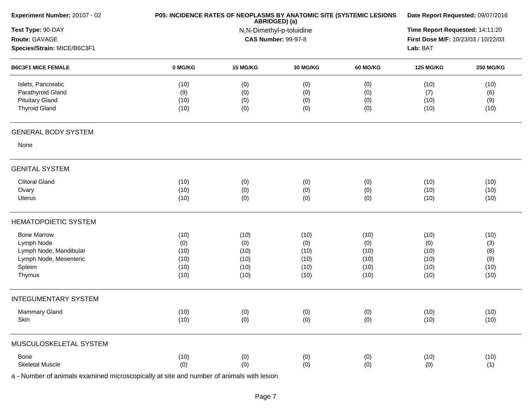| Experiment Number: 20107 - 02 |         | P05: INCIDENCE RATES OF NEOPLASMS BY ANATOMIC SITE (SYSTEMIC LESIONS<br>ABRIDGED) (a) |                            |                 |                                     |                  |  |  |
|-------------------------------|---------|---------------------------------------------------------------------------------------|----------------------------|-----------------|-------------------------------------|------------------|--|--|
| Test Type: 90-DAY             |         |                                                                                       | N,N-Dimethyl-p-toluidine   |                 | Time Report Requested: 14:11:20     |                  |  |  |
| Route: GAVAGE                 |         |                                                                                       | <b>CAS Number: 99-97-8</b> |                 | First Dose M/F: 10/23/03 / 10/22/03 |                  |  |  |
| Species/Strain: MICE/B6C3F1   |         |                                                                                       |                            |                 | Lab: BAT                            |                  |  |  |
| <b>B6C3F1 MICE FEMALE</b>     | 0 MG/KG | 15 MG/KG                                                                              | 30 MG/KG                   | <b>60 MG/KG</b> | <b>125 MG/KG</b>                    | <b>250 MG/KG</b> |  |  |
| Islets, Pancreatic            | (10)    | (0)                                                                                   | (0)                        | (0)             | (10)                                | (10)             |  |  |
| Parathyroid Gland             | (9)     | (0)                                                                                   | (0)                        | (0)             | (7)                                 | (6)              |  |  |
| <b>Pituitary Gland</b>        | (10)    | (0)                                                                                   | (0)                        | (0)             | (10)                                | (9)              |  |  |
| <b>Thyroid Gland</b>          | (10)    | (0)                                                                                   | (0)                        | (0)             | (10)                                | (10)             |  |  |
| <b>GENERAL BODY SYSTEM</b>    |         |                                                                                       |                            |                 |                                     |                  |  |  |
| None                          |         |                                                                                       |                            |                 |                                     |                  |  |  |
| <b>GENITAL SYSTEM</b>         |         |                                                                                       |                            |                 |                                     |                  |  |  |
| <b>Clitoral Gland</b>         | (10)    | (0)                                                                                   | (0)                        | (0)             | (10)                                | (10)             |  |  |
| Ovary                         | (10)    | (0)                                                                                   | (0)                        | (0)             | (10)                                | (10)             |  |  |
| Uterus                        | (10)    | (0)                                                                                   | (0)                        | (0)             | (10)                                | (10)             |  |  |
| <b>HEMATOPOIETIC SYSTEM</b>   |         |                                                                                       |                            |                 |                                     |                  |  |  |
| <b>Bone Marrow</b>            | (10)    | (10)                                                                                  | (10)                       | (10)            | (10)                                | (10)             |  |  |
| Lymph Node                    | (0)     | (0)                                                                                   | (0)                        | (0)             | (0)                                 | (3)              |  |  |
| Lymph Node, Mandibular        | (10)    | (10)                                                                                  | (10)                       | (10)            | (10)                                | (8)              |  |  |
| Lymph Node, Mesenteric        | (10)    | (10)                                                                                  | (10)                       | (10)            | (10)                                | (9)              |  |  |
| Spleen                        | (10)    | (10)                                                                                  | (10)                       | (10)            | (10)                                | (10)             |  |  |
| Thymus                        | (10)    | (10)                                                                                  | (10)                       | (10)            | (10)                                | (10)             |  |  |
| <b>INTEGUMENTARY SYSTEM</b>   |         |                                                                                       |                            |                 |                                     |                  |  |  |
| Mammary Gland                 | (10)    | (0)                                                                                   | (0)                        | (0)             | (10)                                | (10)             |  |  |
| Skin                          | (10)    | (0)                                                                                   | (0)                        | (0)             | (10)                                | (10)             |  |  |
| MUSCULOSKELETAL SYSTEM        |         |                                                                                       |                            |                 |                                     |                  |  |  |
| Bone                          | (10)    | (0)                                                                                   | (0)                        | (0)             | (10)                                | (10)             |  |  |
| <b>Skeletal Muscle</b>        | (0)     | (0)                                                                                   | (0)                        | (0)             | (0)                                 | (1)              |  |  |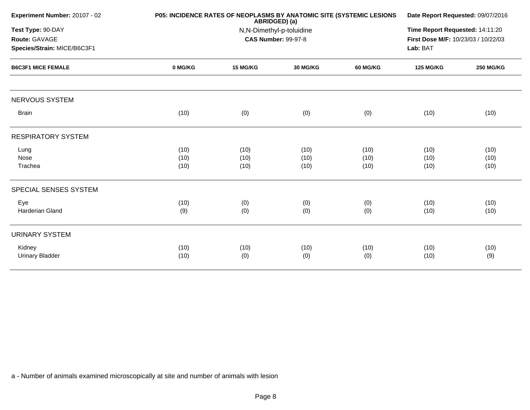| Experiment Number: 20107 - 02                                     | P05: INCIDENCE RATES OF NEOPLASMS BY ANATOMIC SITE (SYSTEMIC LESIONS | Date Report Requested: 09/07/2016<br>Time Report Requested: 14:11:20<br>First Dose M/F: 10/23/03 / 10/22/03<br>Lab: BAT |                      |                      |                      |                      |
|-------------------------------------------------------------------|----------------------------------------------------------------------|-------------------------------------------------------------------------------------------------------------------------|----------------------|----------------------|----------------------|----------------------|
| Test Type: 90-DAY<br>Route: GAVAGE<br>Species/Strain: MICE/B6C3F1 |                                                                      |                                                                                                                         |                      |                      |                      |                      |
| <b>B6C3F1 MICE FEMALE</b>                                         | 0 MG/KG                                                              | 15 MG/KG                                                                                                                | 30 MG/KG             | 60 MG/KG             | <b>125 MG/KG</b>     | <b>250 MG/KG</b>     |
| <b>NERVOUS SYSTEM</b>                                             |                                                                      |                                                                                                                         |                      |                      |                      |                      |
| <b>Brain</b>                                                      | (10)                                                                 | (0)                                                                                                                     | (0)                  | (0)                  | (10)                 | (10)                 |
| <b>RESPIRATORY SYSTEM</b>                                         |                                                                      |                                                                                                                         |                      |                      |                      |                      |
| Lung<br>Nose<br>Trachea                                           | (10)<br>(10)<br>(10)                                                 | (10)<br>(10)<br>(10)                                                                                                    | (10)<br>(10)<br>(10) | (10)<br>(10)<br>(10) | (10)<br>(10)<br>(10) | (10)<br>(10)<br>(10) |
| SPECIAL SENSES SYSTEM                                             |                                                                      |                                                                                                                         |                      |                      |                      |                      |
| Eye<br><b>Harderian Gland</b>                                     | (10)<br>(9)                                                          | (0)<br>(0)                                                                                                              | (0)<br>(0)           | (0)<br>(0)           | (10)<br>(10)         | (10)<br>(10)         |
| <b>URINARY SYSTEM</b>                                             |                                                                      |                                                                                                                         |                      |                      |                      |                      |
| Kidney<br><b>Urinary Bladder</b>                                  | (10)<br>(10)                                                         | (10)<br>(0)                                                                                                             | (10)<br>(0)          | (10)<br>(0)          | (10)<br>(10)         | (10)<br>(9)          |
|                                                                   |                                                                      |                                                                                                                         |                      |                      |                      |                      |